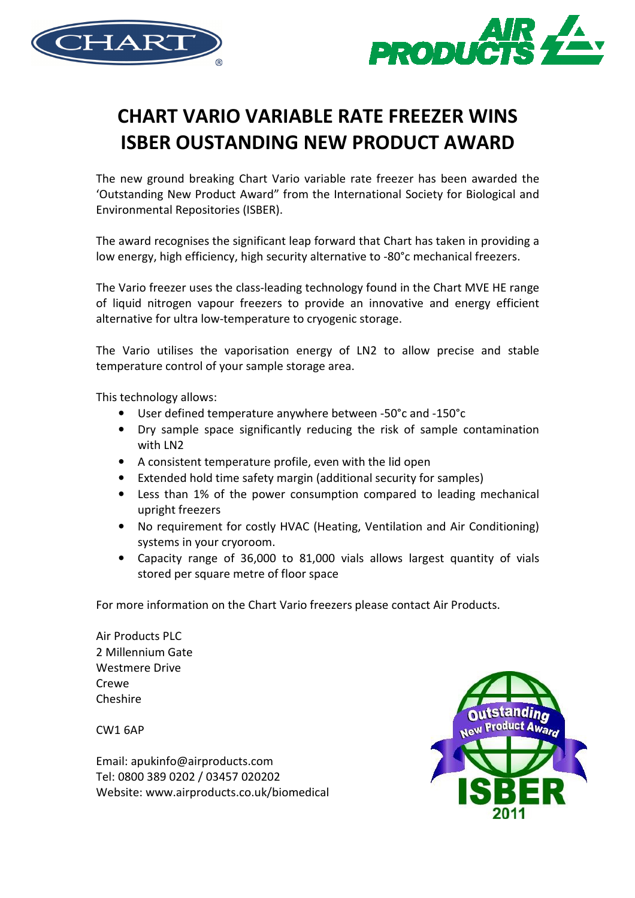



## CHART VARIO VARIABLE RATE FREEZER WINS ISBER OUSTANDING NEW PRODUCT AWARD

The new ground breaking Chart Vario variable rate freezer has been awarded the 'Outstanding New Product Award" from the International Society for Biological and Environmental Repositories (ISBER).

The award recognises the significant leap forward that Chart has taken in providing a low energy, high efficiency, high security alternative to -80°c mechanical freezers.

The Vario freezer uses the class-leading technology found in the Chart MVE HE range of liquid nitrogen vapour freezers to provide an innovative and energy efficient alternative for ultra low-temperature to cryogenic storage.

The Vario utilises the vaporisation energy of LN2 to allow precise and stable temperature control of your sample storage area.

This technology allows:

- User defined temperature anywhere between -50°c and -150°c
- Dry sample space significantly reducing the risk of sample contamination with LN2
- A consistent temperature profile, even with the lid open
- Extended hold time safety margin (additional security for samples)
- Less than 1% of the power consumption compared to leading mechanical upright freezers
- No requirement for costly HVAC (Heating, Ventilation and Air Conditioning) systems in your cryoroom.
- Capacity range of 36,000 to 81,000 vials allows largest quantity of vials stored per square metre of floor space

For more information on the Chart Vario freezers please contact Air Products.

Air Products PLC 2 Millennium Gate Westmere Drive Crewe Cheshire

CW1 6AP

Email: apukinfo@airproducts.com Tel: 0800 389 0202 / 03457 020202 Website: www.airproducts.co.uk/biomedical